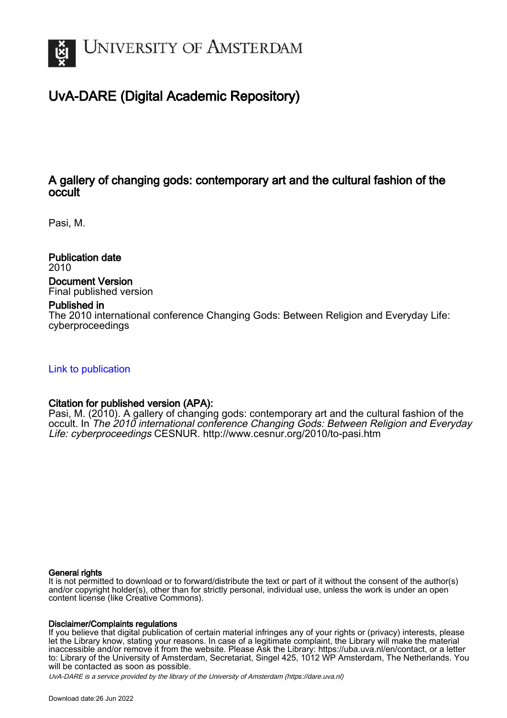

# UvA-DARE (Digital Academic Repository)

# A gallery of changing gods: contemporary art and the cultural fashion of the occult

Pasi, M.

Publication date 2010 Document Version Final published version

### Published in

The 2010 international conference Changing Gods: Between Religion and Everyday Life: cyberproceedings

[Link to publication](https://dare.uva.nl/personal/pure/en/publications/a-gallery-of-changing-gods-contemporary-art-and-the-cultural-fashion-of-the-occult(c35432ed-9a69-44f4-a48a-f8aa5b77cbad).html)

## Citation for published version (APA):

Pasi, M. (2010). A gallery of changing gods: contemporary art and the cultural fashion of the occult. In The 2010 international conference Changing Gods: Between Religion and Everyday Life: cyberproceedings CESNUR.<http://www.cesnur.org/2010/to-pasi.htm>

#### General rights

It is not permitted to download or to forward/distribute the text or part of it without the consent of the author(s) and/or copyright holder(s), other than for strictly personal, individual use, unless the work is under an open content license (like Creative Commons).

### Disclaimer/Complaints regulations

If you believe that digital publication of certain material infringes any of your rights or (privacy) interests, please let the Library know, stating your reasons. In case of a legitimate complaint, the Library will make the material inaccessible and/or remove it from the website. Please Ask the Library: https://uba.uva.nl/en/contact, or a letter to: Library of the University of Amsterdam, Secretariat, Singel 425, 1012 WP Amsterdam, The Netherlands. You will be contacted as soon as possible.

UvA-DARE is a service provided by the library of the University of Amsterdam (http*s*://dare.uva.nl)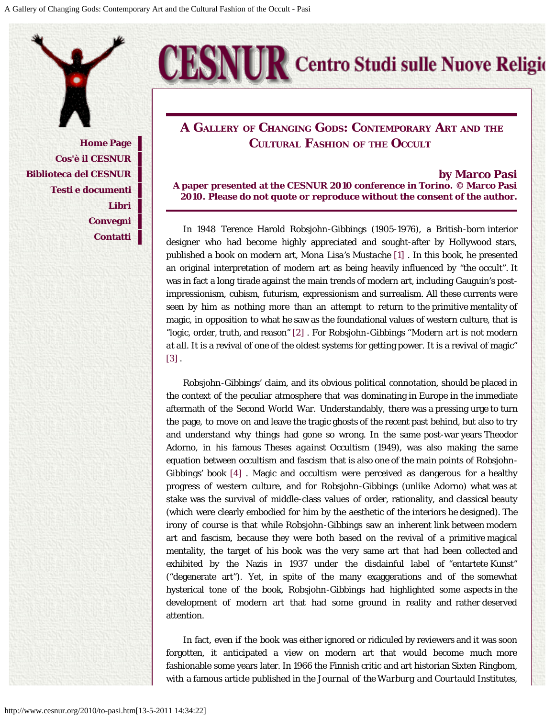**[Home Page](http://www.cesnur.org/default.htm) [Cos'è il CESNUR](http://www.cesnur.org/about.htm) [Biblioteca del CESNUR](http://www.cesnur.org/library.htm) [Testi e documenti](http://www.cesnur.org/testi.htm) [Libri](http://www.cesnur.org/libri.htm) [Convegni](http://www.cesnur.org/conferenze.htm) [Contatti](mailto:cesnur_to@virgilio.it)**

# **A GaLLERY OF CHaNgINg GODS: CONTEMPORaRY ART aND THE CULTURaL FaSHION OF THE OccULT**

**ESNUR** Centro Studi sulle Nuove Religio

**by Marco Pasi**

**A paper presented at the CESNUR 2010 conference in Torino. © Marco Pasi 2010. Please do not quote or reproduce without the consent of the author.**

In 1948 Terence Harold Robsjohn-Gibbings (1905-1976), a British-born interior designer who had become highly appreciated and sought-after by Hollywood stars, published a book on modern art, *Mona Lisa's Mustache* [\[1\] .](#page-6-0) In this book, he presented an original interpretation of modern art as being heavily influenced by "the occult". It was in fact a long tirade against the main trends of modern art, including Gauguin's postimpressionism, cubism, futurism, expressionism and surrealism. All these currents were seen by him as nothing more than an attempt to return to the primitive mentality of magic, in opposition to what he saw as the foundational values of western culture, that is "logic, order, truth, and reason" [\[2\] .](#page-6-1) For Robsjohn-Gibbings "*Modern art is not modern at all*. It is a revival of one of the oldest systems for getting power. It is a revival of magic" [\[3\]](#page-6-2) .

Robsjohn-Gibbings' claim, and its obvious political connotation, should be placed in the context of the peculiar atmosphere that was dominating in Europe in the immediate aftermath of the Second World War. Understandably, there was a pressing urge to turn the page, to move on and leave the tragic ghosts of the recent past behind, but also to try and understand why things had gone so wrong. In the same post-war years Theodor Adorno, in his famous *Theses against Occultism* (1949), was also making the same equation between occultism and fascism that is also one of the main points of Robsjohn-Gibbings' book [\[4\]](#page-6-3) . Magic and occultism were perceived as dangerous for a healthy progress of western culture, and for Robsjohn-Gibbings (unlike Adorno) what was at stake was the survival of middle-class values of order, rationality, and classical beauty (which were clearly embodied for him by the aesthetic of the interiors he designed). The irony of course is that while Robsjohn-Gibbings saw an inherent link between modern art and fascism, because they were both based on the revival of a primitive magical mentality, the target of his book was the very same art that had been collected and exhibited by the Nazis in 1937 under the disdainful label of "entartete Kunst" ("degenerate art"). Yet, in spite of the many exaggerations and of the somewhat hysterical tone of the book, Robsjohn-Gibbings had highlighted some aspects in the development of modern art that had some ground in reality and rather deserved attention.

In fact, even if the book was either ignored or ridiculed by reviewers and it was soon forgotten, it anticipated a view on modern art that would become much more fashionable some years later. In 1966 the Finnish critic and art historian Sixten Ringbom, with a famous article published in the *Journal of the Warburg and Courtauld Institutes*,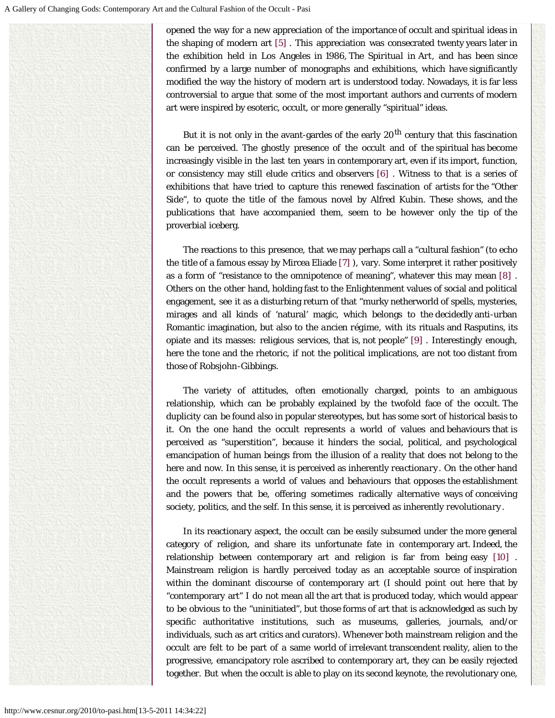opened the way for a new appreciation of the importance of occult and spiritual ideas in the shaping of modern art [\[5\] .](#page-6-4) This appreciation was consecrated twenty years later in the exhibition held in Los Angeles in 1986, *The Spiritual in Art*, and has been since confirmed by a large number of monographs and exhibitions, which have significantly modified the way the history of modern art is understood today. Nowadays, it is far less controversial to argue that some of the most important authors and currents of modern art were inspired by esoteric, occult, or more generally "spiritual" ideas.

But it is not only in the avant-gardes of the early  $20<sup>th</sup>$  century that this fascination can be perceived. The ghostly presence of the occult and of the spiritual has become increasingly visible in the last ten years in contemporary art, even if its import, function, or consistency may still elude critics and observers [\[6\] .](#page-6-5) Witness to that is a series of exhibitions that have tried to capture this renewed fascination of artists for the "Other Side", to quote the title of the famous novel by Alfred Kubin. These shows, and the publications that have accompanied them, seem to be however only the tip of the proverbial iceberg.

The reactions to this presence, that we may perhaps call a "cultural fashion" (to echo the title of a famous essay by Mircea Eliade [\[7\] \)](#page-6-6), vary. Some interpret it rather positively as a form of "resistance to the omnipotence of meaning", whatever this may mean [\[8\]](#page-6-7) . Others on the other hand, holding fast to the Enlightenment values of social and political engagement, see it as a disturbing return of that "murky netherworld of spells, mysteries, mirages and all kinds of 'natural' magic, which belongs to the decidedly anti-urban Romantic imagination, but also to the *ancien régime*, with its rituals and Rasputins, its opiate and its masses: religious services, that is, not people" [\[9\] .](#page-6-8) Interestingly enough, here the tone and the rhetoric, if not the political implications, are not too distant from those of Robsjohn-Gibbings.

The variety of attitudes, often emotionally charged, points to an ambiguous relationship, which can be probably explained by the twofold face of the occult. The duplicity can be found also in popular stereotypes, but has some sort of historical basis to it. On the one hand the occult represents a world of values and behaviours that is perceived as "superstition", because it hinders the social, political, and psychological emancipation of human beings from the illusion of a reality that does not belong to the here and now. In this sense, it is perceived as inherently *reactionary*. On the other hand the occult represents a world of values and behaviours that opposes the establishment and the powers that be, offering sometimes radically alternative ways of conceiving society, politics, and the self. In this sense, it is perceived as inherently *revolutionary*.

In its reactionary aspect, the occult can be easily subsumed under the more general category of religion, and share its unfortunate fate in contemporary art. Indeed, the relationship between contemporary art and religion is far from being easy [\[10\]](#page-6-9) . Mainstream religion is hardly perceived today as an acceptable source of inspiration within the dominant discourse of contemporary art (I should point out here that by "contemporary art" I do not mean all the art that is produced today, which would appear to be obvious to the "uninitiated", but those forms of art that is acknowledged as such by specific authoritative institutions, such as museums, galleries, journals, and/or individuals, such as art critics and curators). Whenever both mainstream religion and the occult are felt to be part of a same world of irrelevant transcendent reality, alien to the progressive, emancipatory role ascribed to contemporary art, they can be easily rejected together. But when the occult is able to play on its second keynote, the revolutionary one,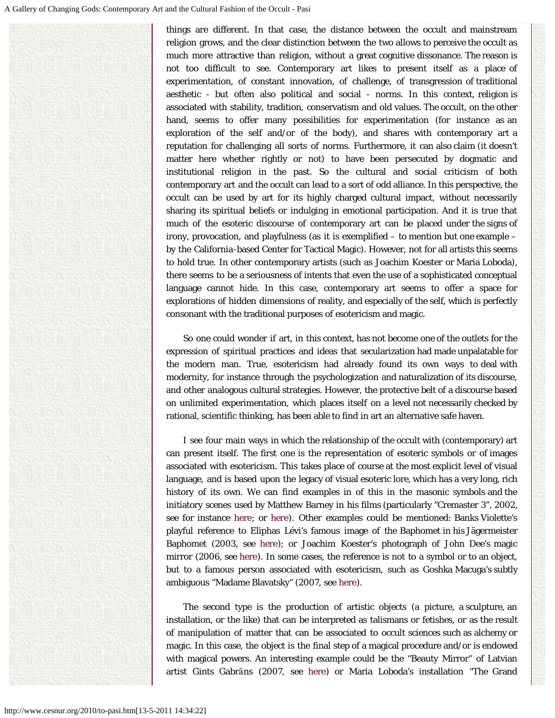things are different. In that case, the distance between the occult and mainstream religion grows, and the clear distinction between the two allows to perceive the occult as much more attractive than religion, without a great cognitive dissonance. The reason is not too difficult to see. Contemporary art likes to present itself as a place of experimentation, of constant innovation, of challenge, of transgression of traditional aesthetic - but often also political and social - norms. In this context, religion is associated with stability, tradition, conservatism and old values. The occult, on the other hand, seems to offer many possibilities for experimentation (for instance as an exploration of the self and/or of the body), and shares with contemporary art a reputation for challenging all sorts of norms. Furthermore, it can also claim (it doesn't matter here whether rightly or not) to have been persecuted by dogmatic and institutional religion in the past. So the cultural and social criticism of both contemporary art and the occult can lead to a sort of odd alliance. In this perspective, the occult can be used by art for its highly charged cultural impact, without necessarily sharing its spiritual beliefs or indulging in emotional participation. And it is true that much of the esoteric discourse of contemporary art can be placed under the signs of irony, provocation, and playfulness (as it is exemplified  $-$  to mention but one example  $$ by the California-based Center for Tactical Magic). However, not for all artists this seems to hold true. In other contemporary artists (such as Joachim Koester or Maria Loboda), there seems to be a seriousness of intents that even the use of a sophisticated conceptual language cannot hide. In this case, contemporary art seems to offer a space for explorations of hidden dimensions of reality, and especially of the self, which is perfectly consonant with the traditional purposes of esotericism and magic.

So one could wonder if art, in this context, has not become one of the outlets for the expression of spiritual practices and ideas that secularization had made unpalatable for the modern man. True, esotericism had already found its own ways to deal with modernity, for instance through the psychologization and naturalization of its discourse, and other analogous cultural strategies. However, the protective belt of a discourse based on unlimited experimentation, which places itself on a level not necessarily checked by rational, scientific thinking, has been able to find in art an alternative safe haven.

I see four main ways in which the relationship of the occult with (contemporary) art can present itself. The first one is the representation of esoteric symbols or of images associated with esotericism. This takes place of course at the most explicit level of visual language, and is based upon the legacy of visual esoteric lore, which has a very long, rich history of its own. We can find examples in of this in the masonic symbols and the initiatory scenes used by Matthew Barney in his films (particularly "Cremaster 3", 2002, see for instance [here;](http://www.arcanabooks.com/bookimages/012065.jpg) or [here\)](http://farm1.static.flickr.com/114/297717214_d84026f39d.jpg?v=0). Other examples could be mentioned: Banks Violette's playful reference to Eliphas Lévi's famous image of the Baphomet in his Jägermeister Baphomet (2003, see [here\)](http://www.takaishiigallery.com/gallerysora/jp/artists/banks_violette/Jagermeister_Baphomet.html#banks_violette); or Joachim Koester's photograph of John Dee's magic mirror (2006, see [here\)](http://www.wildhunt.org/koester.png). In some cases, the reference is not to a symbol or to an object, but to a famous person associated with esotericism, such as Goshka Macuga's subtly ambiguous "Madame Blavatsky" (2007, see [here\)](http://ericageorgiades.wordpress.com/2009/10/11/goshka-macuga-madame-blavatsky/).

The second type is the production of artistic objects (a picture, a sculpture, an installation, or the like) that can be interpreted as talismans or fetishes, or as the result of manipulation of matter that can be associated to occult sciences such as alchemy or magic. In this case, the object is the final step of a magical procedure and/or is endowed with magical powers. An interesting example could be the "Beauty Mirror" of Latvian artist Gints Gabrāns (2007, see [here\)](http://www.gabrans.com/html/) or Maria Loboda's installation "The Grand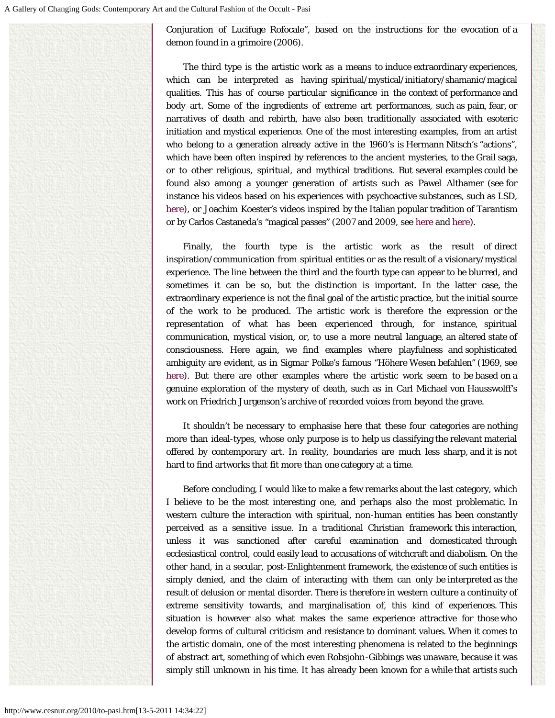Conjuration of Lucifuge Rofocale", based on the instructions for the evocation of a demon found in a grimoire (2006).

The third type is the artistic work as a means to induce extraordinary experiences, which can be interpreted as having spiritual/mystical/initiatory/shamanic/magical qualities. This has of course particular significance in the context of performance and body art. Some of the ingredients of extreme art performances, such as pain, fear, or narratives of death and rebirth, have also been traditionally associated with esoteric initiation and mystical experience. One of the most interesting examples, from an artist who belong to a generation already active in the 1960's is Hermann Nitsch's "actions", which have been often inspired by references to the ancient mysteries, to the Grail saga, or to other religious, spiritual, and mythical traditions. But several examples could be found also among a younger generation of artists such as Pawel Althamer (see for instance his videos based on his experiences with psychoactive substances, such as LSD, [here\)](http://www.artnews.lt/wp-content/uploads/2009/05/fo_althamer_lsd_2003.jpg), or Joachim Koester's videos inspired by the Italian popular tradition of Tarantism or by Carlos Castaneda's "magical passes" (2007 and 2009, see [here](http://www.stills.org/sites/default/files/tarantismpersons26 copy.jpg) and [here\)](http://www.ificantdance.org/def2/uploads/images/FDTD/Joachim%20Koester%202.jpg).

Finally, the fourth type is the artistic work as the result of direct inspiration/communication from spiritual entities or as the result of a visionary/mystical experience. The line between the third and the fourth type can appear to be blurred, and sometimes it can be so, but the distinction is important. In the latter case, the extraordinary experience is not the final goal of the artistic practice, but the initial source of the work to be produced. The artistic work is therefore the expression or the representation of what has been experienced through, for instance, spiritual communication, mystical vision, or, to use a more neutral language, an altered state of consciousness. Here again, we find examples where playfulness and sophisticated ambiguity are evident, as in Sigmar Polke's famous "Höhere Wesen befahlen" (1969, see [here\)](http://www.artmagazine.cc/data/content/2008-09/37263/polke-hoehere-wesen.jpg). But there are other examples where the artistic work seem to be based on a genuine exploration of the mystery of death, such as in Carl Michael von Hausswolff's work on Friedrich Jurgenson's archive of recorded voices from beyond the grave.

It shouldn't be necessary to emphasise here that these four categories are nothing more than ideal-types, whose only purpose is to help us classifying the relevant material offered by contemporary art. In reality, boundaries are much less sharp, and it is not hard to find artworks that fit more than one category at a time.

Before concluding, I would like to make a few remarks about the last category, which I believe to be the most interesting one, and perhaps also the most problematic. In western culture the interaction with spiritual, non-human entities has been constantly perceived as a sensitive issue. In a traditional Christian framework this interaction, unless it was sanctioned after careful examination and domesticated through ecclesiastical control, could easily lead to accusations of witchcraft and diabolism. On the other hand, in a secular, post-Enlightenment framework, the existence of such entities is simply denied, and the claim of interacting with them can only be interpreted as the result of delusion or mental disorder. There is therefore in western culture a continuity of extreme sensitivity towards, and marginalisation of, this kind of experiences. This situation is however also what makes the same experience attractive for those who develop forms of cultural criticism and resistance to dominant values. When it comes to the artistic domain, one of the most interesting phenomena is related to the beginnings of abstract art, something of which even Robsjohn-Gibbings was unaware, because it was simply still unknown in his time. It has already been known for a while that artists such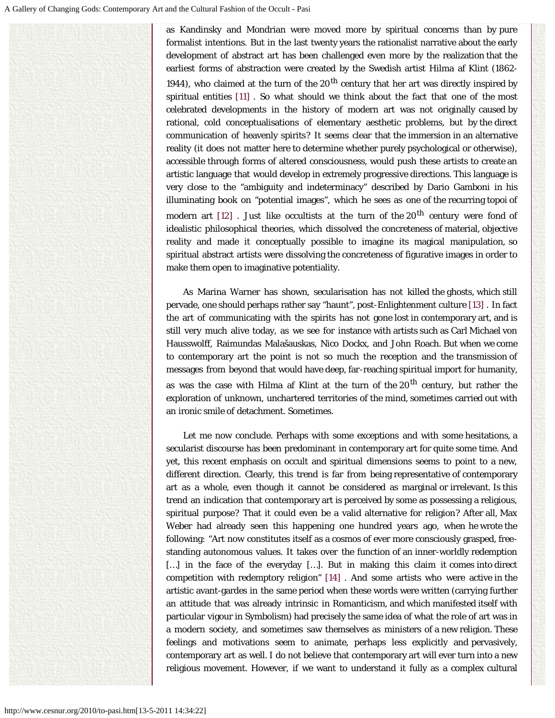as Kandinsky and Mondrian were moved more by spiritual concerns than by pure formalist intentions. But in the last twenty years the rationalist narrative about the early development of abstract art has been challenged even more by the realization that the earliest forms of abstraction were created by the Swedish artist Hilma af Klint (1862- 1944), who claimed at the turn of the  $20<sup>th</sup>$  century that her art was directly inspired by spiritual entities [\[11\] .](#page-6-10) So what should we think about the fact that one of the most celebrated developments in the history of modern art was not originally caused by rational, cold conceptualisations of elementary aesthetic problems, but by the direct communication of heavenly spirits? It seems clear that the immersion in an alternative reality (it does not matter here to determine whether purely psychological or otherwise), accessible through forms of altered consciousness, would push these artists to create an artistic language that would develop in extremely progressive directions. This language is very close to the "ambiguity and indeterminacy" described by Dario Gamboni in his illuminating book on "potential images", which he sees as one of the recurring topoi of modern art  $[12]$  . Just like occultists at the turn of the 20<sup>th</sup> century were fond of idealistic philosophical theories, which dissolved the concreteness of material, objective reality and made it conceptually possible to imagine its magical manipulation, so spiritual abstract artists were dissolving the concreteness of figurative images in order to make them open to imaginative potentiality.

As Marina Warner has shown, secularisation has not killed the ghosts, which still pervade, one should perhaps rather say "haunt", post-Enlightenment culture [\[13\] .](#page-7-1) In fact the art of communicating with the spirits has not gone lost in contemporary art, and is still very much alive today, as we see for instance with artists such as Carl Michael von Hausswolff, Raimundas Malašauskas, Nico Dockx, and John Roach. But when we come to contemporary art the point is not so much the reception and the transmission of messages from beyond that would have deep, far-reaching spiritual import for humanity, as was the case with Hilma af Klint at the turn of the  $20<sup>th</sup>$  century, but rather the exploration of unknown, unchartered territories of the mind, sometimes carried out with an ironic smile of detachment. Sometimes.

<span id="page-5-0"></span>Let me now conclude. Perhaps with some exceptions and with some hesitations, a secularist discourse has been predominant in contemporary art for quite some time. And yet, this recent emphasis on occult and spiritual dimensions seems to point to a new, different direction. Clearly, this trend is far from being representative of contemporary art as a whole, even though it cannot be considered as marginal or irrelevant. Is this trend an indication that contemporary art is perceived by some as possessing a religious, spiritual purpose? That it could even be a valid alternative for religion? After all, Max Weber had already seen this happening one hundred years ago, when he wrote the following: "Art now constitutes itself as a cosmos of ever more consciously grasped, freestanding autonomous values. It takes over the function of an inner-worldly redemption […] in the face of the everyday […]. But in making this claim it comes into direct competition with redemptory religion" [\[14\] .](#page-7-2) And some artists who were active in the artistic avant-gardes in the same period when these words were written (carrying further an attitude that was already intrinsic in Romanticism, and which manifested itself with particular vigour in Symbolism) had precisely the same idea of what the role of art was in a modern society, and sometimes saw themselves as ministers of a new religion. These feelings and motivations seem to animate, perhaps less explicitly and pervasively, contemporary art as well. I do not believe that contemporary art will ever turn into a new religious movement. However, if we want to understand it fully as a complex cultural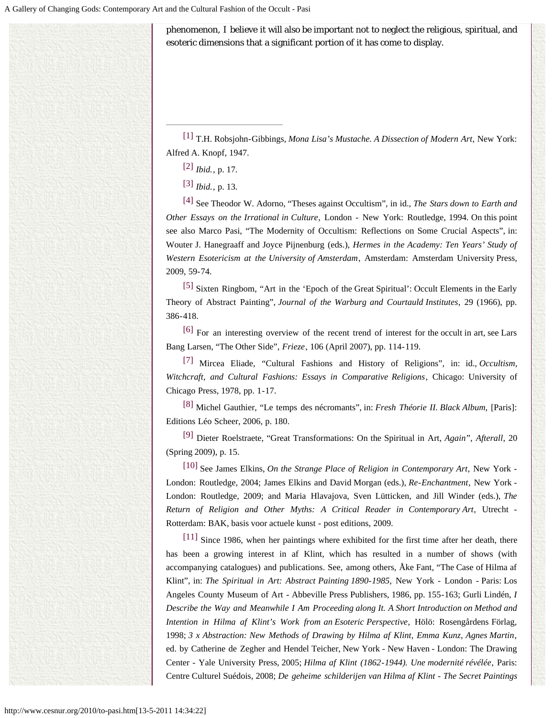phenomenon, I believe it will also be important not to neglect the religious, spiritual, and esoteric dimensions that a significant portion of it has come to display.

<span id="page-6-1"></span><span id="page-6-0"></span>[\[1\]](#page-5-0) T.H. Robsjohn-Gibbings, *Mona Lisa's Mustache. A Dissection of Modern Art*, New York: Alfred A. Knopf, 1947.

[\[3\]](#page-5-0) *Ibid.*, p. 13.

<span id="page-6-3"></span><span id="page-6-2"></span>[\[4\]](#page-5-0) See Theodor W. Adorno, "Theses against Occultism", in id., *The Stars down to Earth and Other Essays on the Irrational in Culture*, London - New York: Routledge, 1994. On this point see also Marco Pasi, "The Modernity of Occultism: Reflections on Some Crucial Aspects", in: Wouter J. Hanegraaff and Joyce Pijnenburg (eds.), *Hermes in the Academy: Ten Years' Study of Western Esotericism at the University of Amsterdam*, Amsterdam: Amsterdam University Press, 2009, 59-74.

<span id="page-6-4"></span>[\[5\]](#page-5-0) Sixten Ringbom, "Art in the 'Epoch of the Great Spiritual': Occult Elements in the Early Theory of Abstract Painting", *Journal of the Warburg and Courtauld Institutes*, 29 (1966), pp. 386-418.

<span id="page-6-5"></span>[\[6\]](#page-5-0) For an interesting overview of the recent trend of interest for the occult in art, see Lars Bang Larsen, "The Other Side", *Frieze*, 106 (April 2007), pp. 114-119.

<span id="page-6-6"></span>[\[7\] M](#page-5-0)ircea Eliade, "Cultural Fashions and History of Religions", in: id., *Occultism, Witchcraft, and Cultural Fashions: Essays in Comparative Religions*, Chicago: University of Chicago Press, 1978, pp. 1-17.

<span id="page-6-7"></span>[\[8\]](#page-5-0) Michel Gauthier, "Le temps des nécromants", in: *Fresh Théorie II. Black Album*, [Paris]: Editions Léo Scheer, 2006, p. 180.

<span id="page-6-8"></span>[\[9\] D](#page-5-0)ieter Roelstraete, "Great Transformations: On the Spiritual in Art, *Again*", *Afterall*, 20 (Spring 2009), p. 15.

<span id="page-6-9"></span>[\[10\] S](#page-5-0)ee James Elkins, *On the Strange Place of Religion in Contemporary Art*, New York - London: Routledge, 2004; James Elkins and David Morgan (eds.), *Re-Enchantment*, New York - London: Routledge, 2009; and Maria Hlavajova, Sven Lütticken, and Jill Winder (eds.), *The Return of Religion and Other Myths: A Critical Reader in Contemporary Art*, Utrecht - Rotterdam: BAK, basis voor actuele kunst - post editions, 2009.

<span id="page-6-10"></span>[\[11\] S](#page-5-0)ince 1986, when her paintings where exhibited for the first time after her death, there has been a growing interest in af Klint, which has resulted in a number of shows (with accompanying catalogues) and publications. See, among others, Åke Fant, "The Case of Hilma af Klint", in: *The Spiritual in Art: Abstract Painting 1890-1985*, New York - London - Paris: Los Angeles County Museum of Art - Abbeville Press Publishers, 1986, pp. 155-163; Gurli Lindén, *I Describe the Way and Meanwhile I Am Proceeding along It. A Short Introduction on Method and Intention in Hilma af Klint's Work from an Esoteric Perspective*, Hölö: Rosengårdens Förlag, 1998; *3 x Abstraction: New Methods of Drawing by Hilma af Klint, Emma Kunz, Agnes Martin*, ed. by Catherine de Zegher and Hendel Teicher, New York - New Haven - London: The Drawing Center - Yale University Press, 2005; *Hilma af Klint (1862-1944). Une modernité révélée*, Paris: Centre Culturel Suédois, 2008; *De geheime schilderijen van Hilma af Klint - The Secret Paintings*

[<sup>\[2\]</sup>](#page-5-0) *Ibid.*, p. 17.